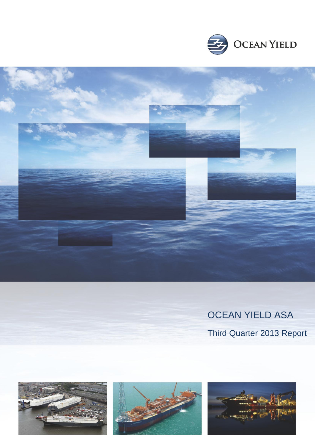



# OCEAN YIELD ASA

Third Quarter 2013 Report

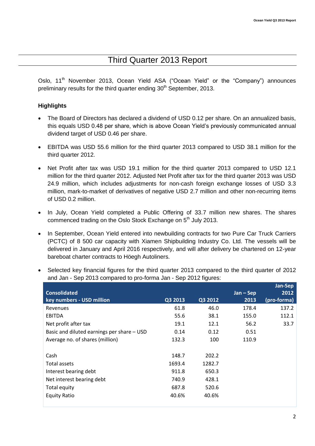## Third Quarter 2013 Report

Oslo. 11<sup>th</sup> November 2013, Ocean Yield ASA ("Ocean Yield" or the "Company") announces preliminary results for the third quarter ending 30<sup>th</sup> September, 2013.

#### **Highlights**

- The Board of Directors has declared a dividend of USD 0.12 per share. On an annualized basis, this equals USD 0.48 per share, which is above Ocean Yield's previously communicated annual dividend target of USD 0.46 per share.
- EBITDA was USD 55.6 million for the third quarter 2013 compared to USD 38.1 million for the third quarter 2012.
- Net Profit after tax was USD 19.1 million for the third quarter 2013 compared to USD 12.1 million for the third quarter 2012. Adjusted Net Profit after tax for the third quarter 2013 was USD 24.9 million, which includes adjustments for non-cash foreign exchange losses of USD 3.3 million, mark-to-market of derivatives of negative USD 2.7 million and other non-recurring items of USD 0.2 million.
- In July, Ocean Yield completed a Public Offering of 33.7 million new shares. The shares commenced trading on the Oslo Stock Exchange on 5<sup>th</sup> July 2013.
- In September, Ocean Yield entered into newbuilding contracts for two Pure Car Truck Carriers (PCTC) of 8 500 car capacity with Xiamen Shipbuilding Industry Co. Ltd. The vessels will be delivered in January and April 2016 respectively, and will after delivery be chartered on 12-year bareboat charter contracts to Höegh Autoliners.
- Selected key financial figures for the third quarter 2013 compared to the third quarter of 2012 and Jan - Sep 2013 compared to pro-forma Jan - Sep 2012 figures:

|                                            |         |         |             | Jan-Sep     |
|--------------------------------------------|---------|---------|-------------|-------------|
| <b>Consolidated</b>                        |         |         | $Jan - Sep$ | 2012        |
| key numbers - USD million                  | Q3 2013 | Q3 2012 | 2013        | (pro-forma) |
| Revenues                                   | 61.8    | 46.0    | 178.4       | 137.2       |
| EBITDA                                     | 55.6    | 38.1    | 155.0       | 112.1       |
| Net profit after tax                       | 19.1    | 12.1    | 56.2        | 33.7        |
| Basic and diluted earnings per share - USD | 0.14    | 0.12    | 0.51        |             |
| Average no. of shares (million)            | 132.3   | 100     | 110.9       |             |
|                                            |         |         |             |             |
| Cash                                       | 148.7   | 202.2   |             |             |
| Total assets                               | 1693.4  | 1282.7  |             |             |
| Interest bearing debt                      | 911.8   | 650.3   |             |             |
| Net interest bearing debt                  | 740.9   | 428.1   |             |             |
| Total equity                               | 687.8   | 520.6   |             |             |
| <b>Equity Ratio</b>                        | 40.6%   | 40.6%   |             |             |
|                                            |         |         |             |             |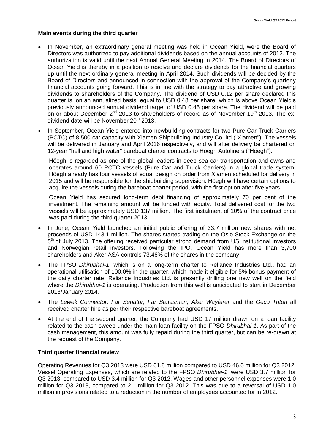#### **Main events during the third quarter**

- In November, an extraordinary general meeting was held in Ocean Yield, were the Board of Directors was authorized to pay additional dividends based on the annual accounts of 2012. The authorization is valid until the next Annual General Meeting in 2014. The Board of Directors of Ocean Yield is thereby in a position to resolve and declare dividends for the financial quarters up until the next ordinary general meeting in April 2014. Such dividends will be decided by the Board of Directors and announced in connection with the approval of the Company's quarterly financial accounts going forward. This is in line with the strategy to pay attractive and growing dividends to shareholders of the Company. The dividend of USD 0.12 per share declared this quarter is, on an annualized basis, equal to USD 0.48 per share, which is above Ocean Yield's previously announced annual dividend target of USD 0.46 per share. The dividend will be paid on or about December  $2^{nd}$  2013 to shareholders of record as of November 19<sup>th</sup> 2013. The exdividend date will be November  $20^{th}$  2013.
- In September, Ocean Yield entered into newbuilding contracts for two Pure Car Truck Carriers (PCTC) of 8 500 car capacity with Xiamen Shipbuilding Industry Co. ltd ("Xiamen"). The vessels will be delivered in January and April 2016 respectively, and will after delivery be chartered on 12-year "hell and high water" bareboat charter contracts to Höegh Autoliners ("Höegh").

Höegh is regarded as one of the global leaders in deep sea car transportation and owns and operates around 60 PCTC vessels (Pure Car and Truck Carriers) in a global trade system. Höegh already has four vessels of equal design on order from Xiamen scheduled for delivery in 2015 and will be responsible for the shipbuilding supervision. Höegh will have certain options to acquire the vessels during the bareboat charter period, with the first option after five years.

Ocean Yield has secured long-term debt financing of approximately 70 per cent of the investment. The remaining amount will be funded with equity. Total delivered cost for the two vessels will be approximately USD 137 million. The first instalment of 10% of the contract price was paid during the third quarter 2013.

- In June, Ocean Yield launched an initial public offering of 33.7 million new shares with net proceeds of USD 143.1 million. The shares started trading on the Oslo Stock Exchange on the  $5<sup>th</sup>$  of July 2013. The offering received particular strong demand from US institutional investors and Norwegian retail investors. Following the IPO, Ocean Yield has more than 3,700 shareholders and Aker ASA controls 73.46% of the shares in the company.
- The FPSO *Dhirubhai-1*, which is on a long-term charter to Reliance Industries Ltd., had an operational utilisation of 100.0% in the quarter, which made it eligible for 5% bonus payment of the daily charter rate. Reliance Industries Ltd. is presently drilling one new well on the field where the *Dhirubhai-1* is operating. Production from this well is anticipated to start in December 2013/January 2014.
- The *Lewek Connector, Far Senator, Far Statesman, Aker Wayfarer* and the *Geco Triton* all received charter hire as per their respective bareboat agreements.
- At the end of the second quarter, the Company had USD 17 million drawn on a loan facility related to the cash sweep under the main loan facility on the FPSO *Dhirubhai-1*. As part of the cash management, this amount was fully repaid during the third quarter, but can be re-drawn at the request of the Company.

#### **Third quarter financial review**

Operating Revenues for Q3 2013 were USD 61.8 million compared to USD 46.0 million for Q3 2012. Vessel Operating Expenses, which are related to the FPSO *Dhirubhai-1*, were USD 3.7 million for Q3 2013, compared to USD 3.4 million for Q3 2012. Wages and other personnel expenses were 1.0 million for Q3 2013, compared to 2.1 million for Q3 2012. This was due to a reversal of USD 1.0 million in provisions related to a reduction in the number of employees accounted for in 2012.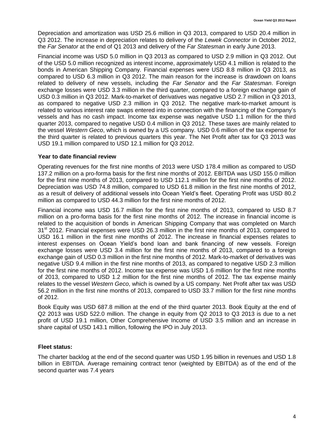Depreciation and amortization was USD 25.6 million in Q3 2013, compared to USD 20.4 million in Q3 2012. The increase in depreciation relates to delivery of the *Lewek Connector* in October 2012, the *Far Senator* at the end of Q1 2013 and delivery of the *Far Statesman* in early June 2013.

Financial income was USD 5.0 million in Q3 2013 as compared to USD 2.9 million in Q3 2012. Out of the USD 5.0 million recognized as interest income, approximately USD 4.1 million is related to the bonds in American Shipping Company. Financial expenses were USD 8.8 million in Q3 2013, as compared to USD 6.3 million in Q3 2012. The main reason for the increase is drawdown on loans related to delivery of new vessels, including the *Far Senator* and the *Far Statesman*. Foreign exchange losses were USD 3.3 million in the third quarter, compared to a foreign exchange gain of USD 0.3 million in Q3 2012. Mark-to-market of derivatives was negative USD 2.7 million in Q3 2013, as compared to negative USD 2.3 million in Q3 2012. The negative mark-to-market amount is related to various interest rate swaps entered into in connection with the financing of the Company's vessels and has no cash impact. Income tax expense was negative USD 1.1 million for the third quarter 2013, compared to negative USD 0.4 million in Q3 2012. These taxes are mainly related to the vessel *Western Geco*, which is owned by a US company. USD 0.6 million of the tax expense for the third quarter is related to previous quarters this year. The Net Profit after tax for Q3 2013 was USD 19.1 million compared to USD 12.1 million for Q3 2012.

#### **Year to date financial review**

Operating revenues for the first nine months of 2013 were USD 178.4 million as compared to USD 137.2 million on a pro-forma basis for the first nine months of 2012. EBITDA was USD 155.0 million for the first nine months of 2013, compared to USD 112.1 million for the first nine months of 2012. Depreciation was USD 74.8 million, compared to USD 61.8 million in the first nine months of 2012, as a result of delivery of additional vessels into Ocean Yield's fleet. Operating Profit was USD 80.2 million as compared to USD 44.3 million for the first nine months of 2012.

Financial income was USD 16.7 million for the first nine months of 2013, compared to USD 8.7 million on a pro-forma basis for the first nine months of 2012. The increase in financial income is related to the acquisition of bonds in American Shipping Company that was completed on March 31<sup>st</sup> 2012. Financial expenses were USD 26.3 million in the first nine months of 2013, compared to USD 16.1 million in the first nine months of 2012. The increase in financial expenses relates to interest expenses on Ocean Yield's bond loan and bank financing of new vessels. Foreign exchange losses were USD 3.4 million for the first nine months of 2013, compared to a foreign exchange gain of USD 0.3 million in the first nine months of 2012. Mark-to-market of derivatives was negative USD 9.4 million in the first nine months of 2013, as compared to negative USD 2.3 million for the first nine months of 2012. Income tax expense was USD 1.6 million for the first nine months of 2013, compared to USD 1.2 million for the first nine months of 2012. The tax expense mainly relates to the vessel *Western Geco*, which is owned by a US company. Net Profit after tax was USD 56.2 million in the first nine months of 2013, compared to USD 33.7 million for the first nine months of 2012.

Book Equity was USD 687.8 million at the end of the third quarter 2013. Book Equity at the end of Q2 2013 was USD 522.0 million. The change in equity from Q2 2013 to Q3 2013 is due to a net profit of USD 19.1 million, Other Comprehensive Income of USD 3.5 million and an increase in share capital of USD 143.1 million, following the IPO in July 2013.

#### **Fleet status:**

The charter backlog at the end of the second quarter was USD 1.95 billion in revenues and USD 1.8 billion in EBITDA. Average remaining contract tenor (weighted by EBITDA) as of the end of the second quarter was 7.4 years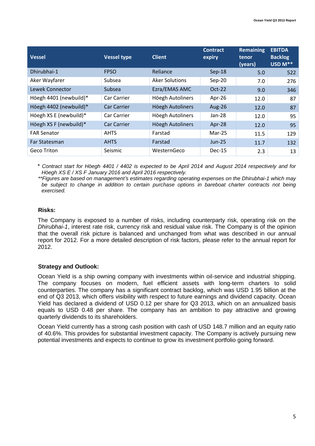| <b>Vessel</b>          | <b>Vessel type</b> | <b>Client</b>         | <b>Contract</b><br>expiry | <b>Remaining</b><br>tenor<br>(years) | <b>EBITDA</b><br><b>Backlog</b><br>USD M** |
|------------------------|--------------------|-----------------------|---------------------------|--------------------------------------|--------------------------------------------|
| Dhirubhai-1            | <b>FPSO</b>        | Reliance              | $Sep-18$                  | 5.0                                  | 522                                        |
| Aker Wayfarer          | Subsea             | <b>Aker Solutions</b> | $Sep-20$                  | 7.0                                  | 276                                        |
| Lewek Connector        | Subsea             | Ezra/EMAS AMC         | $Oct-22$                  | 9.0                                  | 346                                        |
| Höegh 4401 (newbuild)* | Car Carrier        | Höegh Autoliners      | Apr-26                    | 12.0                                 | 87                                         |
| Höegh 4402 (newbuild)* | <b>Car Carrier</b> | Höegh Autoliners      | <b>Aug-26</b>             | 12.0                                 | 87                                         |
| Höegh XS E (newbuild)* | Car Carrier        | Höegh Autoliners      | Jan-28                    | 12.0                                 | 95                                         |
| Höegh XS F (newbuild)* | <b>Car Carrier</b> | Höegh Autoliners      | Apr-28                    | 12.0                                 | 95                                         |
| <b>FAR Senator</b>     | <b>AHTS</b>        | Farstad               | $Mar-25$                  | 11.5                                 | 129                                        |
| Far Statesman          | <b>AHTS</b>        | Farstad               | $Jun-25$                  | 11.7                                 | 132                                        |
| Geco Triton            | Seismic            | WesternGeco           | Dec-15                    | 2.3                                  | 13                                         |

*\* Contract start for Höegh 4401 / 4402 is expected to be April 2014 and August 2014 respectively and for Höegh XS E / XS F January 2016 and April 2016 respectively.*

*\*\*Figures are based on management's estimates regarding operating expenses on the Dhirubhai-1 which may be subject to change in addition to certain purchase options in bareboat charter contracts not being exercised.*

#### **Risks:**

The Company is exposed to a number of risks, including counterparty risk, operating risk on the *Dhirubhai-1*, interest rate risk, currency risk and residual value risk. The Company is of the opinion that the overall risk picture is balanced and unchanged from what was described in our annual report for 2012. For a more detailed description of risk factors, please refer to the annual report for 2012.

#### **Strategy and Outlook:**

Ocean Yield is a ship owning company with investments within oil-service and industrial shipping. The company focuses on modern, fuel efficient assets with long-term charters to solid counterparties. The company has a significant contract backlog, which was USD 1.95 billion at the end of Q3 2013, which offers visibility with respect to future earnings and dividend capacity. Ocean Yield has declared a dividend of USD 0.12 per share for Q3 2013, which on an annualized basis equals to USD 0.48 per share. The company has an ambition to pay attractive and growing quarterly dividends to its shareholders.

Ocean Yield currently has a strong cash position with cash of USD 148.7 million and an equity ratio of 40.6%. This provides for substantial investment capacity. The Company is actively pursuing new potential investments and expects to continue to grow its investment portfolio going forward.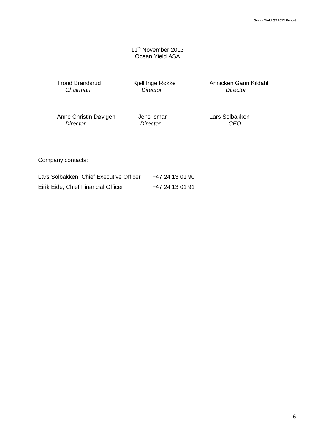11<sup>th</sup> November 2013 Ocean Yield ASA

*Chairman Director Director*

Trond Brandsrud Kjell Inge Røkke Annicken Gann Kildahl<br>Chairman Director Director Director

Anne Christin Døvigen Jens Ismar Lars Solbakken<br>
Director CEO  *Director Director CEO*

Company contacts:

| Lars Solbakken, Chief Executive Officer | +47 24 13 01 90 |
|-----------------------------------------|-----------------|
| Eirik Eide, Chief Financial Officer     | +47 24 13 01 91 |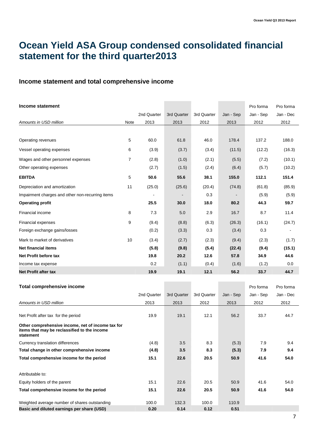## **Ocean Yield ASA Group condensed consolidated financial statement for the third quarter2013**

#### **Income statement and total comprehensive income**

| Income statement                                 |                | 2nd Quarter | 3rd Quarter | 3rd Quarter | Jan - Sep | Pro forma<br>Jan - Sep | Pro forma<br>Jan - Dec |
|--------------------------------------------------|----------------|-------------|-------------|-------------|-----------|------------------------|------------------------|
| Amounts in USD million                           | Note           | 2013        | 2013        | 2012        | 2013      | 2012                   | 2012                   |
|                                                  |                |             |             |             |           |                        |                        |
| Operating revenues                               | 5              | 60.0        | 61.8        | 46.0        | 178.4     | 137.2                  | 188.0                  |
| Vessel operating expenses                        | 6              | (3.9)       | (3.7)       | (3.4)       | (11.5)    | (12.2)                 | (16.3)                 |
| Wages and other personnel expenses               | $\overline{7}$ | (2.8)       | (1.0)       | (2.1)       | (5.5)     | (7.2)                  | (10.1)                 |
| Other operating expenses                         |                | (2.7)       | (1.5)       | (2.4)       | (6.4)     | (5.7)                  | (10.2)                 |
| <b>EBITDA</b>                                    | 5              | 50.6        | 55.6        | 38.1        | 155.0     | 112.1                  | 151.4                  |
| Depreciation and amortization                    | 11             | (25.0)      | (25.6)      | (20.4)      | (74.8)    | (61.8)                 | (85.9)                 |
| Impairment charges and other non-recurring items |                |             |             | 0.3         |           | (5.9)                  | (5.9)                  |
| <b>Operating profit</b>                          |                | 25.5        | 30.0        | 18.0        | 80.2      | 44.3                   | 59.7                   |
| Financial income                                 | 8              | 7.3         | 5.0         | 2.9         | 16.7      | 8.7                    | 11.4                   |
| <b>Financial expenses</b>                        | 9              | (9.4)       | (8.8)       | (6.3)       | (26.3)    | (16.1)                 | (24.7)                 |
| Foreign exchange gains/losses                    |                | (0.2)       | (3.3)       | 0.3         | (3.4)     | 0.3                    |                        |
| Mark to market of derivatives                    | 10             | (3.4)       | (2.7)       | (2.3)       | (9.4)     | (2.3)                  | (1.7)                  |
| <b>Net financial items</b>                       |                | (5.8)       | (9.8)       | (5.4)       | (22.4)    | (9.4)                  | (15.1)                 |
| Net Profit before tax                            |                | 19.8        | 20.2        | 12.6        | 57.8      | 34.9                   | 44.6                   |
| Income tax expense                               |                | 0.2         | (1.1)       | (0.4)       | (1.6)     | (1.2)                  | 0.0                    |
| <b>Net Profit after tax</b>                      |                | 19.9        | 19.1        | 12.1        | 56.2      | 33.7                   | 44.7                   |

| Total comprehensive income                                                                                     |             |             |             |           | Pro forma | Pro forma |
|----------------------------------------------------------------------------------------------------------------|-------------|-------------|-------------|-----------|-----------|-----------|
|                                                                                                                | 2nd Quarter | 3rd Quarter | 3rd Quarter | Jan - Sep | Jan - Sep | Jan - Dec |
| Amounts in USD million                                                                                         | 2013        | 2013        | 2012        | 2013      | 2012      | 2012      |
| Net Profit after tax for the period                                                                            | 19.9        | 19.1        | 12.1        | 56.2      | 33.7      | 44.7      |
| Other comprehensive income, net of income tax for<br>items that may be reclassified to the income<br>statement |             |             |             |           |           |           |
| Currency translation differences                                                                               | (4.8)       | 3.5         | 8.3         | (5.3)     | 7.9       | 9.4       |
| Total change in other comprehensive income                                                                     | (4.8)       | 3.5         | 8.3         | (5.3)     | 7.9       | 9.4       |
| Total comprehensive income for the period                                                                      | 15.1        | 22.6        | 20.5        | 50.9      | 41.6      | 54.0      |
| Attributable to:                                                                                               |             |             |             |           |           |           |
| Equity holders of the parent                                                                                   | 15.1        | 22.6        | 20.5        | 50.9      | 41.6      | 54.0      |
| Total comprehensive income for the period                                                                      | 15.1        | 22.6        | 20.5        | 50.9      | 41.6      | 54.0      |
| Weighted average number of shares outstanding                                                                  | 100.0       | 132.3       | 100.0       | 110.9     |           |           |
| Basic and diluted earnings per share (USD)                                                                     | 0.20        | 0.14        | 0.12        | 0.51      |           |           |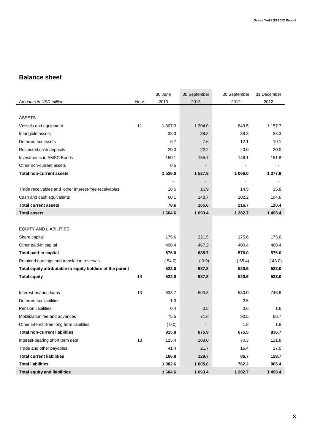### **Balance sheet**

|                                                           |      | 30 June                  | 30 September | 30 September | 31 December |
|-----------------------------------------------------------|------|--------------------------|--------------|--------------|-------------|
| Amounts in USD million                                    | Note | 2013                     | 2013         | 2012         | 2012        |
|                                                           |      |                          |              |              |             |
| <b>ASSETS</b>                                             |      |                          |              |              |             |
| Vessels and equipment                                     | 11   | 1 307.3                  | 1 304.0      | 849.5        | 1 1 5 7 . 7 |
| Intangible assets                                         |      | 38.3                     | 38.3         | 38.3         | 38.3        |
| Deferred tax assets                                       |      | 9.7                      | 7.6          | 12.1         | 10.1        |
| Restricted cash deposits                                  |      | 20.0                     | 22.2         | 20.0         | 20.0        |
| Investments in AMSC Bonds                                 |      | 150.1                    | 155.7        | 146.1        | 151.8       |
| Other non-current assets                                  |      | 0.5                      |              |              |             |
| <b>Total non-current assets</b>                           |      | 1526.0                   | 1 527.8      | 1 066.0      | 1 377.9     |
|                                                           |      | $\overline{\phantom{a}}$ |              |              |             |
| Trade receivables and other interest-free receivables     |      | 18.5                     | 16.9         | 14.5         | 15.8        |
| Cash and cash equivalents                                 |      | 60.1                     | 148.7        | 202.2        | 104.6       |
| <b>Total current assets</b>                               |      | 78.6                     | 165.6        | 216.7        | 120.4       |
| <b>Total assets</b>                                       |      | 1604.6                   | 1 693.4      | 1 282.7      | 1 4 9 8.4   |
|                                                           |      |                          |              |              |             |
| <b>EQUITY AND LIABILITIES</b>                             |      |                          |              |              |             |
| Share capital                                             |      | 175.6                    | 221.5        | 175.6        | 175.6       |
| Other paid-in capital                                     |      | 400.4                    | 467.2        | 400.4        | 400.4       |
| Total paid-in capital                                     |      | 576.0                    | 688.7        | 576.0        | 576.0       |
| Retained earnings and translation reserves                |      | (54.0)                   | (0.9)        | (55.4)       | (43.0)      |
| Total equity attributable to equity holders of the parent |      | 522.0                    | 687.8        | 520.6        | 533.0       |
| <b>Total equity</b>                                       | 14   | 522.0                    | 687.8        | 520.6        | 533.0       |
|                                                           |      |                          |              |              |             |
| Interest-bearing loans                                    | 13   | 838.7                    | 803.8        | 580.0        | 746.6       |
| Deferred tax liabilities                                  |      | 1.3                      |              | 2.5          |             |
| <b>Pension liabilities</b>                                |      | 0.4                      | 0.5          | 0.6          | 1.6         |
| Mobilization fee and advances                             |      | 75.5                     | 71.6         | 90.5         | 86.7        |
| Other interest-free long term liabilities                 |      | (0.0)                    |              | 1.8          | 1.8         |
| <b>Total non-current liabilities</b>                      |      | 915.8                    | 875.9        | 675.5        | 836.7       |
| Interest-bearing short term debt                          | 13   | 125.4                    | 108.0        | 70.3         | 111.8       |
| Trade and other payables                                  |      | 41.4                     | 21.7         | 16.4         | 17.0        |
| <b>Total current liabilities</b>                          |      | 166.8                    | 129.7        | 86.7         | 128.7       |
| <b>Total liabilities</b>                                  |      | 1 082.6                  | 1 005.6      | 762.2        | 965.4       |
| <b>Total equity and liabilities</b>                       |      | 1 604.6                  | 1 693.4      | 1 282.7      | 1 4 9 8.4   |

**COL**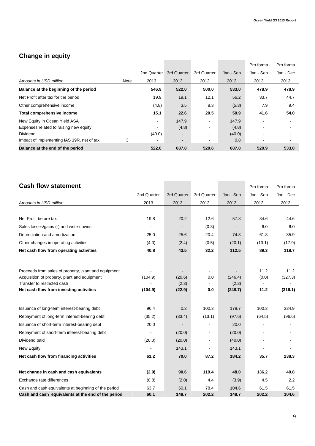## **Change in equity**

|                                            |      |             |                          |             |           | Pro forma      | Pro forma |
|--------------------------------------------|------|-------------|--------------------------|-------------|-----------|----------------|-----------|
|                                            |      | 2nd Quarter | 3rd Quarter              | 3rd Quarter | Jan - Sep | Jan - Sep      | Jan - Dec |
| Amounts in USD million                     | Note | 2013        | 2013                     | 2012        | 2013      | 2012           | 2012      |
| Balance at the beginning of the period     |      | 546.9       | 522.0                    | 500.0       | 533.0     | 478.9          | 478.9     |
| Net Profit after tax for the period        |      | 19.9        | 19.1                     | 12.1        | 56.2      | 33.7           | 44.7      |
| Other comprehensive income                 |      | (4.8)       | 3.5                      | 8.3         | (5.3)     | 7.9            | 9.4       |
| Total comprehensive income                 |      | 15.1        | 22.6                     | 20.5        | 50.9      | 41.6           | 54.0      |
| New Equity in Ocean Yield ASA              |      | ۰           | 147.9                    |             | 147.9     | $\blacksquare$ |           |
| Expenses related to raising new equity     |      |             | (4.8)                    |             | (4.8)     |                |           |
| <b>Dividend</b>                            |      | (40.0)      | $\blacksquare$           |             | (40.0)    |                |           |
| Impact of implementing IAS 19R, net of tax | 3    |             | $\overline{\phantom{0}}$ |             | 0.8       |                |           |
| Balance at the end of the period           |      | 522.0       | 687.8                    | 520.6       | 687.8     | 520.9          | 533.0     |

| <b>Cash flow statement</b>                           |             |             |                |           | Pro forma | Pro forma |
|------------------------------------------------------|-------------|-------------|----------------|-----------|-----------|-----------|
|                                                      | 2nd Quarter | 3rd Quarter | 3rd Quarter    | Jan - Sep | Jan - Sep | Jan - Dec |
| Amounts in USD million                               | 2013        | 2013        | 2012           | 2013      | 2012      | 2012      |
|                                                      |             |             |                |           |           |           |
| Net Profit before tax                                | 19.8        | 20.2        | 12.6           | 57.8      | 34.6      | 44.6      |
| Sales losses/gains (-) and write-downs               |             |             | (0.3)          |           | 6.0       | 6.0       |
| Depreciation and amortization                        | 25.0        | 25.6        | 20.4           | 74.8      | 61.8      | 85.9      |
| Other changes in operating activities                | (4.0)       | (2.4)       | (0.5)          | (20.1)    | (13.1)    | (17.9)    |
| Net cash flow from operating activities              | 40.8        | 43.5        | 32.2           | 112.5     | 89.3      | 118.7     |
|                                                      |             |             |                |           |           |           |
| Proceeds from sales of property, plant and equipment |             |             | $\blacksquare$ |           | 11.2      | 11.2      |
| Acquisition of property, plant and equipment         | (104.9)     | (20.6)      | 0.0            | (246.4)   | (0.0)     | (327.3)   |
| Transfer to restricted cash                          |             | (2.3)       |                | (2.3)     |           |           |
| Net cash flow from investing activities              | (104.9)     | (22.9)      | 0.0            | (248.7)   | 11.2      | (316.1)   |
| Issuance of long-term interest-bearing debt          | 96.4        | 0.3         | 100.3          | 178.7     | 100.3     | 334.9     |
| Repayment of long-term interest-bearing debt         | (35.2)      | (33.4)      | (13.1)         | (97.6)    | (64.5)    | (96.6)    |
| Issuance of short-term interest-bearing debt         | 20.0        |             |                | 20.0      |           |           |
| Repayment of short-term interest-bearing debt        |             | (20.0)      | ۰.             | (20.0)    |           |           |
| Dividend paid                                        | (20.0)      | (20.0)      | ۰              | (40.0)    |           |           |
| New Equity                                           |             | 143.1       |                | 143.1     |           |           |
| Net cash flow from financing activities              | 61.2        | 70.0        | 87.2           | 184.2     | 35.7      | 238.3     |
| Net change in cash and cash equivalents              | (2.9)       | 90.6        | 119.4          | 48.0      | 136.2     | 40.8      |
| Exchange rate differences                            | (0.8)       | (2.0)       | 4.4            | (3.9)     | 4.5       | 2.2       |
| Cash and cash equivalents at beginning of the period | 63.7        | 60.1        | 78.4           | 104.6     | 61.5      | 61.5      |
| Cash and cash equivalents at the end of the period   | 60.1        | 148.7       | 202.2          | 148.7     | 202.2     | 104.6     |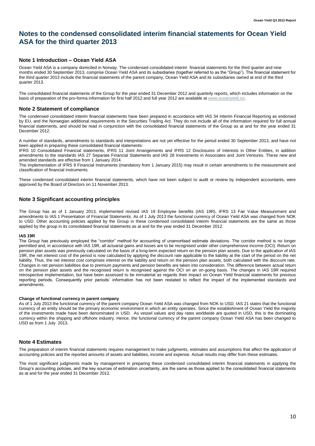### **Notes to the condensed consolidated interim financial statements for Ocean Yield ASA for the third quarter 2013**

#### **Note 1 Introduction – Ocean Yield ASA**

Ocean Yield ASA is a company domiciled in Norway. The condensed consolidated interim financial statements for the third quarter and nine months ended 30 September 2013, comprise Ocean Yield ASA and its subsidiaries (together referred to as the "Group"). The financial statement for the third quarter 2013 include the financial statements of the parent company, Ocean Yield ASA and its subsidiaries owned at end of the third quarter 2013.

The consolidated financial statements of the Group for the year ended 31 December 2012 and quarterly reports, which includes information on the basis of preparation of the pro-forma information for first half 2012 and full year 2012 are available at www.oceanyield.no.

#### **Note 2 Statement of compliance**

The condensed consolidated interim financial statements have been prepared in accordance with IAS 34 Interim Financial Reporting as endorsed by EU, and the Norwegian additional requirements in the Securities Trading Act. They do not include all of the information required for full annual financial statements, and should be read in conjunction with the consolidated financial statements of the Group as at and for the year ended 31 December 2012.

A number of standards, amendments to standards and interpretations are not yet effective for the period ended 30 September 2013, and have not been applied in preparing these consolidated financial statements:

IFRS 10 Consolidated Financial statements, IFRS 11 Joint Arrangements and IFRS 12 Disclosures of Interests in Other Entities, in addition amendments to the standards IAS 27 Separate Financial Statements and IAS 28 Investments in Associates and Joint Ventures. These new and amended standards are effective from 1 January 2014.

The implementation of IFRS 9 Financial Instruments (mandatory from 1 January 2015) may result in certain amendments to the measurement and classification of financial instruments.

These condensed consolidated interim financial statements, which have not been subject to audit or review by independent accountants, were approved by the Board of Directors on 11 November 2013.

#### **Note 3 Significant accounting principles**

The Group has as of 1 January 2013, implemented revised IAS 19 Employee benefits (IAS 19R), IFRS 13 Fair Value Measurement and amendments to IAS 1 Presentation of Financial Statements. As of 1 July 2013 the functional currency of Ocean Yield ASA was changed from NOK to USD. Other accounting policies applied by the Group in these condensed consolidated interim financial statements are the same as those applied by the group in its consolidated financial statements as at and for the year ended 31 December 2012.

#### **IAS 19R**

The Group has previously employed the "corridor" method for accounting of unamortised estimate deviations. The corridor method is no longer permitted and, in accordance with IAS 19R, all actuarial gains and losses are to be recognised under other comprehensive income (OCI). Return on pension plan assets was previously calculated on the basis of a long-term expected return on the pension plan assets. Due to the application of IAS 19R, the net interest cost of the period is now calculated by applying the discount rate applicable to the liability at the start of the period on the net liability. Thus, the net interest cost comprises interest on the liability and return on the pension plan assets, both calculated with the discount rate. Changes in net pension liabilities due to premium payments and pension benefits are taken into consideration. The difference between actual return on the pension plan assets and the recognised return is recognised against the OCI on an on-going basis. The changes in IAS 19R required retrospective implementation, but have been assessed to be immaterial as regards their impact on Ocean Yield financial statements for previous reporting periods. Consequently prior periods' information has not been restated to reflect the impact of the implemented standards and amendments.

#### **Change of functional currency in parent company**

As of 1 July 2013 the functional currency of the parent company Ocean Yield ASA was changed from NOK to USD. IAS 21 states that the functional currency of an entity should be the primary economic environment in which an entity operates. Since the establishment of Ocean Yield the majority of the investments made have been denominated in USD. As vessel values and day rates worldwide are quoted in USD, this is the dominating currency within the shipping and offshore industry. Hence, the functional currency of the parent company Ocean Yield ASA has been changed to USD as from 1 July 2013.

#### **Note 4 Estimates**

The preparation of interim financial statements requires management to make judgments, estimates and assumptions that affect the application of accounting policies and the reported amounts of assets and liabilities, income and expense. Actual results may differ from these estimates.

The most significant judgments made by management in preparing these condensed consolidated interim financial statements in applying the Group's accounting policies, and the key sources of estimation uncertainty, are the same as those applied to the consolidated financial statements as at and for the year ended 31 December 2012.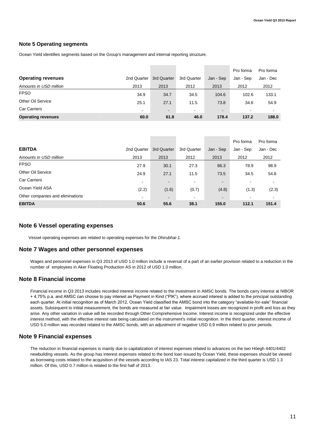#### **Note 5 Operating segments**

Ocean Yield identifies segments based on the Group's management and internal reporting structure.

|                           |                |             |                |                | Pro forma | Pro forma      |
|---------------------------|----------------|-------------|----------------|----------------|-----------|----------------|
| <b>Operating revenues</b> | 2nd Quarter    | 3rd Quarter | 3rd Quarter    | Jan - Sep      | Jan - Sep | Jan - Dec      |
| Amounts in USD million    | 2013           | 2013        | 2012           | 2013           | 2012      | 2012           |
| <b>FPSO</b>               | 34.9           | 34.7        | 34.5           | 104.6          | 102.6     | 133.1          |
| Other Oil Service         | 25.1           | 27.1        | 11.5           | 73.8           | 34.6      | 54.9           |
| <b>Car Carriers</b>       | $\blacksquare$ | $\sim$      | $\blacksquare$ | $\blacksquare$ |           | $\blacksquare$ |
| <b>Operating revenues</b> | 60.0           | 61.8        | 46.0           | 178.4          | 137.2     | 188.0          |

|                                  |                |                |                          |                | Pro forma | Pro forma |
|----------------------------------|----------------|----------------|--------------------------|----------------|-----------|-----------|
| <b>EBITDA</b>                    | 2nd Quarter    | 3rd Quarter    | 3rd Quarter              | Jan - Sep      | Jan - Sep | Jan - Dec |
| Amounts in USD million           | 2013           | 2013           | 2012                     | 2013           | 2012      | 2012      |
| <b>FPSO</b>                      | 27.9           | 30.1           | 27.3                     | 86.3           | 78.9      | 98.9      |
| Other Oil Service                | 24.9           | 27.1           | 11.5                     | 73.5           | 34.5      | 54.8      |
| <b>Car Carriers</b>              | $\blacksquare$ | $\blacksquare$ | $\overline{\phantom{a}}$ | $\blacksquare$ |           |           |
| Ocean Yield ASA                  | (2.2)          | (1.6)          | (0.7)                    | (4.8)          | (1.3)     | (2.3)     |
| Other companies and eliminations | $\blacksquare$ | $\blacksquare$ | $\blacksquare$           | $\blacksquare$ |           |           |
| <b>EBITDA</b>                    | 50.6           | 55.6           | 38.1                     | 155.0          | 112.1     | 151.4     |

#### **Note 6 Vessel operating expenses**

Vessel operating expenses are related to operating expenses for the *Dhirubhai-1.* 

#### **Note 7 Wages and other personnel expenses**

Wages and personnel expenses in Q3 2013 of USD 1.0 million include a reversal of a part of an earlier provision related to a reduction in the number of employees in Aker Floating Production AS in 2012 of USD 1.0 million.

#### **Note 8 Financial income**

Financial income in Q3 2013 includes recorded interest income related to the investment in AMSC bonds. The bonds carry interest at NIBOR + 4.75% p.a. and AMSC can choose to pay interest as Payment in Kind ("PIK"), where accrued interest is added to the principal outstanding each quarter. At initial recognition as of March 2012, Ocean Yield classified the AMSC bond into the category "available-for-sale" financial assets. Subsequent to initial measurement, the bonds are measured at fair value. Impairment losses are recognized in profit and loss as they arise. Any other variation in value will be recorded through Other Comprehensive Income. Interest income is recognized under the effective interest method, with the effective interest rate being calculated on the instrument's initial recognition. In the third quarter, interest income of USD 5.0 million was recorded related to the AMSC bonds, with an adjustment of negative USD 0.9 million related to prior periods.

#### **Note 9 Financial expenses**

The reduction in financial expenses is mainly due to capitalization of interest expenses related to advances on the two Höegh 4401/4402 newbuilding vessels. As the group has interest expenses related to the bond loan issued by Ocean Yield, these expenses should be viewed as borrowing costs related to the acquisition of the vessels according to IAS 23. Total interest capitalized in the third quarter is USD 1.3 million. Of this, USD 0.7 million is related to the first half of 2013.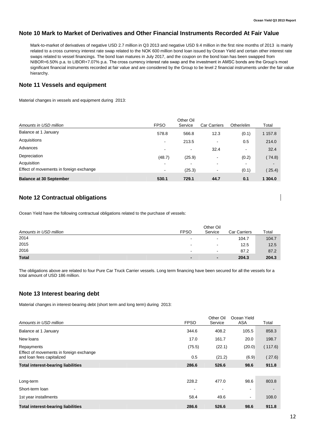#### **Note 10 Mark to Market of Derivatives and Other Financial Instruments Recorded At Fair Value**

Mark-to-market of derivatives of negative USD 2.7 million in Q3 2013 and negative USD 9.4 million in the first nine months of 2013 is mainly related to a cross currency interest rate swap related to the NOK 600 million bond loan issued by Ocean Yield and certain other interest rate swaps related to vessel financings. The bond loan matures in July 2017, and the coupon on the bond loan has been swapped from NIBOR+6.50% p.a. to LIBOR+7.07% p.a. The cross currency interest rate swap and the investment in AMSC bonds are the Group's most significant financial instruments recorded at fair value and are considered by the Group to be level 2 financial instruments under the fair value hierarchy.

#### **Note 11 Vessels and equipment**

Material changes in vessels and equipment during 2013:

| Amounts in USD million                  | <b>FPSO</b>              | Other Oil<br>Service | <b>Car Carriers</b>      | Other/elim | Total   |
|-----------------------------------------|--------------------------|----------------------|--------------------------|------------|---------|
| Balance at 1 January                    | 578.8                    | 566.8                | 12.3                     | (0.1)      | 1 157.8 |
| Acquisitions                            | $\overline{\phantom{a}}$ | 213.5                | $\blacksquare$           | 0.5        | 214.0   |
| Advances                                |                          | $\blacksquare$       | 32.4                     | -          | 32.4    |
| Depreciation                            | (48.7)                   | (25.9)               | $\sim$                   | (0.2)      | (74.8)  |
| Acquisition                             |                          |                      |                          |            |         |
| Effect of movements in foreign exchange | $\blacksquare$           | (25.3)               | $\overline{\phantom{0}}$ | (0.1)      | (25.4)  |
| <b>Balance at 30 September</b>          | 530.1                    | 729.1                | 44.7                     | 0.1        | 1 304.0 |

#### **Note 12 Contractual obligations**

Ocean Yield have the following contractual obligations related to the purchase of vessels:

|                        | Other Oil                |                          |                     |       |  |  |  |
|------------------------|--------------------------|--------------------------|---------------------|-------|--|--|--|
| Amounts in USD million | <b>FPSO</b>              | Service                  | <b>Car Carriers</b> | Total |  |  |  |
| 2014                   | $\overline{\phantom{a}}$ | $\sim$                   | 104.7               | 104.7 |  |  |  |
| 2015                   |                          | $\blacksquare$           | 12.5                | 12.5  |  |  |  |
| 2016                   |                          | $\blacksquare$           | 87.2                | 87.2  |  |  |  |
| <b>Total</b>           | $\blacksquare$           | $\overline{\phantom{a}}$ | 204.3               | 204.3 |  |  |  |

The obligations above are related to four Pure Car Truck Carrier vessels. Long term financing have been secured for all the vessels for a total amount of USD 186 million.

#### **Note 13 Interest bearing debt**

Material changes in interest-bearing debt (short term and long term) during 2013:

| Amounts in USD million                                               | <b>FPSO</b> | Other Oil<br>Service     | Ocean Yield<br>ASA           | Total   |
|----------------------------------------------------------------------|-------------|--------------------------|------------------------------|---------|
|                                                                      |             |                          |                              |         |
| Balance at 1 January                                                 | 344.6       | 408.2                    | 105.5                        | 858.3   |
| New loans                                                            | 17.0        | 161.7                    | 20.0                         | 198.7   |
| Repayments                                                           | (75.5)      | (22.1)                   | (20.0)                       | (117.6) |
| Effect of movements in foreign exchange<br>and loan fees capitalized | 0.5         | (21.2)                   | (6.9)                        | (27.6)  |
| <b>Total interest-bearing liabilities</b>                            | 286.6       | 526.6                    | 98.6                         | 911.8   |
|                                                                      |             |                          |                              |         |
| Long-term                                                            | 228.2       | 477.0                    | 98.6                         | 803.8   |
| Short-term loan                                                      | ٠           | $\overline{\phantom{a}}$ | $\qquad \qquad \blacksquare$ |         |
| 1st year installments                                                | 58.4        | 49.6                     | $\blacksquare$               | 108.0   |
| <b>Total interest-bearing liabilities</b>                            | 286.6       | 526.6                    | 98.6                         | 911.8   |
|                                                                      |             |                          |                              |         |